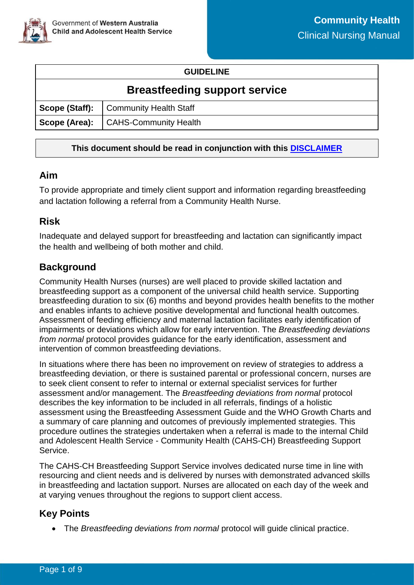

#### **GUIDELINE**

## **Breastfeeding support service**

|  | Scope (Staff):   Community Health Staff |  |
|--|-----------------------------------------|--|
|  | Scope (Area):   CAHS-Community Health   |  |

#### **This document should be read in conjunction with this [DISCLAIMER](https://cahs.health.wa.gov.au/For-health-professionals/Resources/CAHS-Clinical-Disclaimer)**

## **Aim**

To provide appropriate and timely client support and information regarding breastfeeding and lactation following a referral from a Community Health Nurse.

## **Risk**

Inadequate and delayed support for breastfeeding and lactation can significantly impact the health and wellbeing of both mother and child.

## **Background**

Community Health Nurses (nurses) are well placed to provide skilled lactation and breastfeeding support as a component of the universal child health service. Supporting breastfeeding duration to six (6) months and beyond provides health benefits to the mother and enables infants to achieve positive developmental and functional health outcomes. Assessment of feeding efficiency and maternal lactation facilitates early identification of impairments or deviations which allow for early intervention. The *Breastfeeding deviations from normal* protocol provides guidance for the early identification, assessment and intervention of common breastfeeding deviations.

In situations where there has been no improvement on review of strategies to address a breastfeeding deviation, or there is sustained parental or professional concern, nurses are to seek client consent to refer to internal or external specialist services for further assessment and/or management. The *Breastfeeding deviations from normal* protocol describes the key information to be included in all referrals, findings of a holistic assessment using the Breastfeeding Assessment Guide and the WHO Growth Charts and a summary of care planning and outcomes of previously implemented strategies. This procedure outlines the strategies undertaken when a referral is made to the internal Child and Adolescent Health Service - Community Health (CAHS-CH) Breastfeeding Support **Service** 

The CAHS-CH Breastfeeding Support Service involves dedicated nurse time in line with resourcing and client needs and is delivered by nurses with demonstrated advanced skills in breastfeeding and lactation support. Nurses are allocated on each day of the week and at varying venues throughout the regions to support client access.

## **Key Points**

• The *Breastfeeding deviations from normal* protocol will guide clinical practice.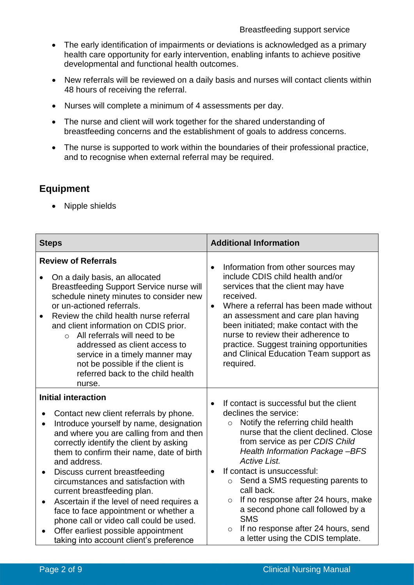- The early identification of impairments or deviations is acknowledged as a primary health care opportunity for early intervention, enabling infants to achieve positive developmental and functional health outcomes.
- New referrals will be reviewed on a daily basis and nurses will contact clients within 48 hours of receiving the referral.
- Nurses will complete a minimum of 4 assessments per day.
- The nurse and client will work together for the shared understanding of breastfeeding concerns and the establishment of goals to address concerns.
- The nurse is supported to work within the boundaries of their professional practice, and to recognise when external referral may be required.

## **Equipment**

• Nipple shields

| <b>Steps</b>                                                                                                                                                                                                                                                                                                                                                                                                                                                                                                                                                                                                                                                  | <b>Additional Information</b>                                                                                                                                                                                                                                                                                                                                                                                                                                                                                                                                                 |  |
|---------------------------------------------------------------------------------------------------------------------------------------------------------------------------------------------------------------------------------------------------------------------------------------------------------------------------------------------------------------------------------------------------------------------------------------------------------------------------------------------------------------------------------------------------------------------------------------------------------------------------------------------------------------|-------------------------------------------------------------------------------------------------------------------------------------------------------------------------------------------------------------------------------------------------------------------------------------------------------------------------------------------------------------------------------------------------------------------------------------------------------------------------------------------------------------------------------------------------------------------------------|--|
| <b>Review of Referrals</b><br>On a daily basis, an allocated<br><b>Breastfeeding Support Service nurse will</b><br>schedule ninety minutes to consider new<br>or un-actioned referrals.<br>Review the child health nurse referral<br>$\bullet$<br>and client information on CDIS prior.<br>All referrals will need to be<br>$\Omega$<br>addressed as client access to<br>service in a timely manner may<br>not be possible if the client is<br>referred back to the child health<br>nurse.                                                                                                                                                                    | Information from other sources may<br>include CDIS child health and/or<br>services that the client may have<br>received.<br>Where a referral has been made without<br>$\bullet$<br>an assessment and care plan having<br>been initiated; make contact with the<br>nurse to review their adherence to<br>practice. Suggest training opportunities<br>and Clinical Education Team support as<br>required.                                                                                                                                                                       |  |
| <b>Initial interaction</b><br>Contact new client referrals by phone.<br>$\bullet$<br>Introduce yourself by name, designation<br>$\bullet$<br>and where you are calling from and then<br>correctly identify the client by asking<br>them to confirm their name, date of birth<br>and address.<br>Discuss current breastfeeding<br>$\bullet$<br>circumstances and satisfaction with<br>current breastfeeding plan.<br>Ascertain if the level of need requires a<br>$\bullet$<br>face to face appointment or whether a<br>phone call or video call could be used.<br>Offer earliest possible appointment<br>$\bullet$<br>taking into account client's preference | If contact is successful but the client<br>$\bullet$<br>declines the service:<br>Notify the referring child health<br>$\circ$<br>nurse that the client declined. Close<br>from service as per CDIS Child<br><b>Health Information Package-BFS</b><br><b>Active List.</b><br>If contact is unsuccessful:<br>$\bullet$<br>Send a SMS requesting parents to<br>$\circ$<br>call back.<br>If no response after 24 hours, make<br>$\circ$<br>a second phone call followed by a<br><b>SMS</b><br>If no response after 24 hours, send<br>$\circ$<br>a letter using the CDIS template. |  |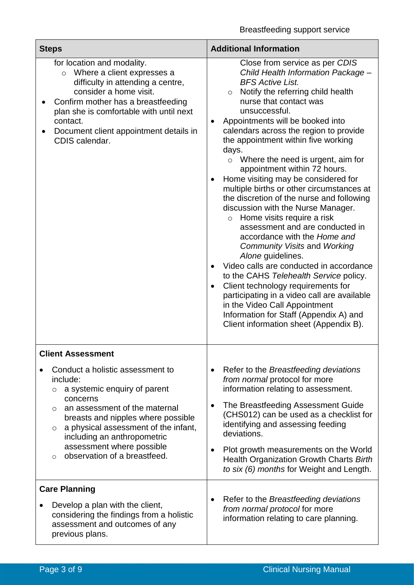| <b>Steps</b>                                                                                                                                                                                                                                                                                                                              | <b>Additional Information</b>                                                                                                                                                                                                                                                                                                                                                                                                                                                                                                                                                                                                                                                                                                                                                                                                                                                                                                                                                                                                                             |  |  |
|-------------------------------------------------------------------------------------------------------------------------------------------------------------------------------------------------------------------------------------------------------------------------------------------------------------------------------------------|-----------------------------------------------------------------------------------------------------------------------------------------------------------------------------------------------------------------------------------------------------------------------------------------------------------------------------------------------------------------------------------------------------------------------------------------------------------------------------------------------------------------------------------------------------------------------------------------------------------------------------------------------------------------------------------------------------------------------------------------------------------------------------------------------------------------------------------------------------------------------------------------------------------------------------------------------------------------------------------------------------------------------------------------------------------|--|--|
| for location and modality.<br>Where a client expresses a<br>$\circ$<br>difficulty in attending a centre,<br>consider a home visit.<br>Confirm mother has a breastfeeding<br>plan she is comfortable with until next<br>contact.<br>Document client appointment details in<br>CDIS calendar.                                               | Close from service as per CDIS<br>Child Health Information Package -<br><b>BFS Active List.</b><br>Notify the referring child health<br>$\circ$<br>nurse that contact was<br>unsuccessful.<br>Appointments will be booked into<br>calendars across the region to provide<br>the appointment within five working<br>days.<br>Where the need is urgent, aim for<br>$\circ$<br>appointment within 72 hours.<br>Home visiting may be considered for<br>multiple births or other circumstances at<br>the discretion of the nurse and following<br>discussion with the Nurse Manager.<br>$\circ$ Home visits require a risk<br>assessment and are conducted in<br>accordance with the Home and<br>Community Visits and Working<br>Alone guidelines.<br>Video calls are conducted in accordance<br>to the CAHS Telehealth Service policy.<br>Client technology requirements for<br>$\bullet$<br>participating in a video call are available<br>in the Video Call Appointment<br>Information for Staff (Appendix A) and<br>Client information sheet (Appendix B). |  |  |
| <b>Client Assessment</b>                                                                                                                                                                                                                                                                                                                  |                                                                                                                                                                                                                                                                                                                                                                                                                                                                                                                                                                                                                                                                                                                                                                                                                                                                                                                                                                                                                                                           |  |  |
| Conduct a holistic assessment to<br>include:<br>a systemic enquiry of parent<br>O<br>concerns<br>an assessment of the maternal<br>$\circ$<br>breasts and nipples where possible<br>a physical assessment of the infant,<br>$\circ$<br>including an anthropometric<br>assessment where possible<br>observation of a breastfeed.<br>$\circ$ | Refer to the Breastfeeding deviations<br>٠<br>from normal protocol for more<br>information relating to assessment.<br>The Breastfeeding Assessment Guide<br>$\bullet$<br>(CHS012) can be used as a checklist for<br>identifying and assessing feeding<br>deviations.<br>Plot growth measurements on the World<br>Health Organization Growth Charts Birth<br>to six (6) months for Weight and Length.                                                                                                                                                                                                                                                                                                                                                                                                                                                                                                                                                                                                                                                      |  |  |
| <b>Care Planning</b><br>Develop a plan with the client,<br>considering the findings from a holistic<br>assessment and outcomes of any<br>previous plans.                                                                                                                                                                                  | Refer to the Breastfeeding deviations<br>from normal protocol for more<br>information relating to care planning.                                                                                                                                                                                                                                                                                                                                                                                                                                                                                                                                                                                                                                                                                                                                                                                                                                                                                                                                          |  |  |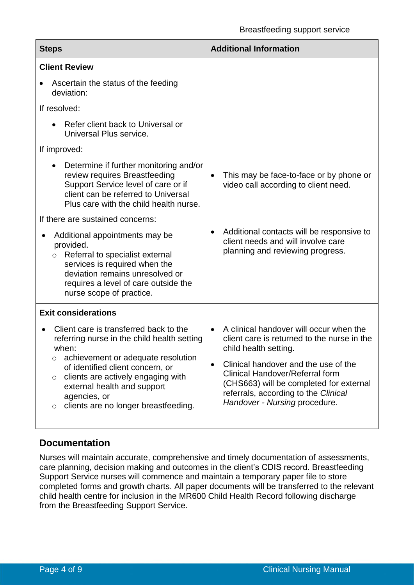| <b>Steps</b>                                                                                                                                                                                                                                                                                                               | <b>Additional Information</b>                                                                                                                                                                                                                                                                                                                   |  |  |
|----------------------------------------------------------------------------------------------------------------------------------------------------------------------------------------------------------------------------------------------------------------------------------------------------------------------------|-------------------------------------------------------------------------------------------------------------------------------------------------------------------------------------------------------------------------------------------------------------------------------------------------------------------------------------------------|--|--|
| <b>Client Review</b>                                                                                                                                                                                                                                                                                                       |                                                                                                                                                                                                                                                                                                                                                 |  |  |
| Ascertain the status of the feeding<br>deviation:                                                                                                                                                                                                                                                                          |                                                                                                                                                                                                                                                                                                                                                 |  |  |
| If resolved:                                                                                                                                                                                                                                                                                                               |                                                                                                                                                                                                                                                                                                                                                 |  |  |
| Refer client back to Universal or<br>Universal Plus service.                                                                                                                                                                                                                                                               |                                                                                                                                                                                                                                                                                                                                                 |  |  |
| If improved:                                                                                                                                                                                                                                                                                                               |                                                                                                                                                                                                                                                                                                                                                 |  |  |
| Determine if further monitoring and/or<br>review requires Breastfeeding<br>Support Service level of care or if<br>client can be referred to Universal<br>Plus care with the child health nurse.                                                                                                                            | This may be face-to-face or by phone or<br>$\bullet$<br>video call according to client need.                                                                                                                                                                                                                                                    |  |  |
| If there are sustained concerns:                                                                                                                                                                                                                                                                                           |                                                                                                                                                                                                                                                                                                                                                 |  |  |
| Additional appointments may be<br>provided.<br>Referral to specialist external<br>$\circ$<br>services is required when the<br>deviation remains unresolved or<br>requires a level of care outside the<br>nurse scope of practice.                                                                                          | Additional contacts will be responsive to<br>$\bullet$<br>client needs and will involve care<br>planning and reviewing progress.                                                                                                                                                                                                                |  |  |
| <b>Exit considerations</b>                                                                                                                                                                                                                                                                                                 |                                                                                                                                                                                                                                                                                                                                                 |  |  |
| Client care is transferred back to the<br>referring nurse in the child health setting<br>when:<br>achievement or adequate resolution<br>O<br>of identified client concern, or<br>clients are actively engaging with<br>$\circ$<br>external health and support<br>agencies, or<br>clients are no longer breastfeeding.<br>O | A clinical handover will occur when the<br>$\bullet$<br>client care is returned to the nurse in the<br>child health setting.<br>Clinical handover and the use of the<br>$\bullet$<br><b>Clinical Handover/Referral form</b><br>(CHS663) will be completed for external<br>referrals, according to the Clinical<br>Handover - Nursing procedure. |  |  |

## **Documentation**

Nurses will maintain accurate, comprehensive and timely documentation of assessments, care planning, decision making and outcomes in the client's CDIS record. Breastfeeding Support Service nurses will commence and maintain a temporary paper file to store completed forms and growth charts. All paper documents will be transferred to the relevant child health centre for inclusion in the MR600 Child Health Record following discharge from the Breastfeeding Support Service.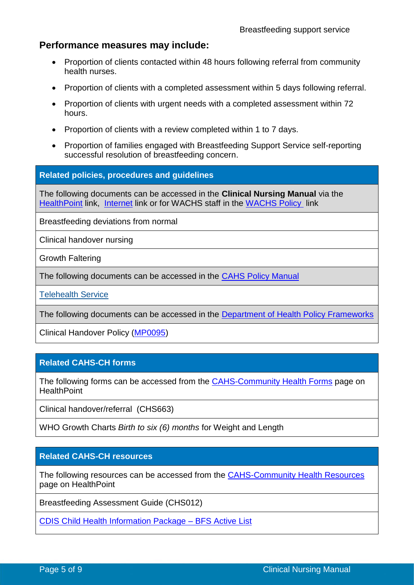## **Performance measures may include:**

- Proportion of clients contacted within 48 hours following referral from community health nurses.
- Proportion of clients with a completed assessment within 5 days following referral.
- Proportion of clients with urgent needs with a completed assessment within 72 hours.
- Proportion of clients with a review completed within 1 to 7 days.
- Proportion of families engaged with Breastfeeding Support Service self-reporting successful resolution of breastfeeding concern.

#### **Related policies, procedures and guidelines**

The following documents can be accessed in the **Clinical Nursing Manual** via the [HealthPoint](https://healthpoint.hdwa.health.wa.gov.au/policies/Pages/CACH-Community-Health.aspx) link, [Internet](https://ww2.health.wa.gov.au/About-us/Child-and-Adolescent-Health-Service/Child-and-Adolescent-Community-Health/Professional-resources/Community-Health-Clinical-Nursing-Manual) link or for WACHS staff in the [WACHS Policy](https://healthpoint.hdwa.health.wa.gov.au/policies/Pages/WACHS%20Policy%20Pages/WACHS-Policies.aspx) link

Breastfeeding deviations from normal

Clinical handover nursing

Growth Faltering

The following documents can be accessed in the [CAHS Policy Manual](https://healthpoint.hdwa.health.wa.gov.au/policies/Pages/CAHS-Policies-Corporate.aspx)

Telehealth Service

The following documents can be accessed in the [Department of Health Policy Frameworks](https://ww2.health.wa.gov.au/About-us/Policy-Frameworks)

Clinical Handover Policy [\(MP0095\)](https://ww2.health.wa.gov.au/About-us/Policy-frameworks/Clinical-Governance-Safety-and-Quality/Mandatory-requirements/Clinical-Handover-Policy)

#### **Related CAHS-CH forms**

The following forms can be accessed from the **[CAHS-Community Health Forms](https://cahs-healthpoint.hdwa.health.wa.gov.au/cach/forms/Pages/default.aspx)** page on **HealthPoint** 

Clinical handover/referral (CHS663)

WHO Growth Charts *Birth to six (6) months* for Weight and Length

#### **Related CAHS-CH resources**

The following resources can be accessed from the [CAHS-Community Health Resources](https://cahs-healthpoint.hdwa.health.wa.gov.au/cach/resources/Pages/default.aspx) page on HealthPoint

Breastfeeding Assessment Guide (CHS012)

[CDIS Child Health Information Package –](file://///hdwa.health.wa.gov.au/shared/CACH/Common%20Folders/CDIS/Breastfeeding%20Service/BFS%20Active%20List.pdf) BFS Active List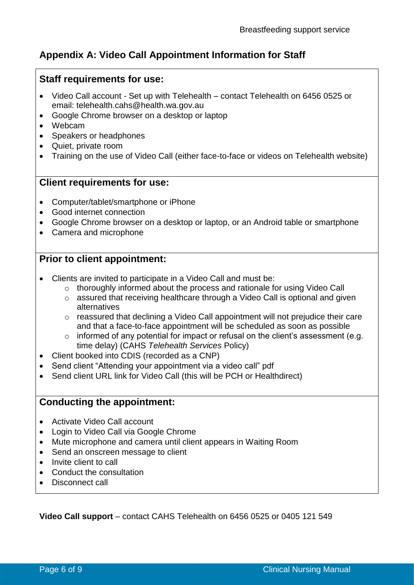## **Appendix A: Video Call Appointment Information for Staff**

#### **Staff requirements for use:**

- Video Call account Set up with Telehealth contact Telehealth on 6456 0525 or email: telehealth.cahs@health.wa.gov.au
- Google Chrome browser on a desktop or laptop
- Webcam
- Speakers or headphones
- Quiet, private room
- Training on the use of Video Call (either face-to-face or videos on Telehealth website)

#### **Client requirements for use:**

- Computer/tablet/smartphone or iPhone
- Good internet connection
- Google Chrome browser on a desktop or laptop, or an Android table or smartphone
- Camera and microphone

## **Prior to client appointment:**

- Clients are invited to participate in a Video Call and must be:
	- o thoroughly informed about the process and rationale for using Video Call
	- o assured that receiving healthcare through a Video Call is optional and given alternatives
	- o reassured that declining a Video Call appointment will not prejudice their care and that a face-to-face appointment will be scheduled as soon as possible
	- $\circ$  informed of any potential for impact or refusal on the client's assessment (e.g. time delay) (CAHS *Telehealth Services* Policy)
- Client booked into CDIS (recorded as a CNP)
- Send client "Attending your appointment via a video call" pdf
- Send client URL link for Video Call (this will be PCH or Healthdirect)

## **Conducting the appointment:**

- Activate Video Call account
- Login to Video Call via Google Chrome
- Mute microphone and camera until client appears in Waiting Room
- Send an onscreen message to client
- Invite client to call
- Conduct the consultation
- Disconnect call

**Video Call support** – contact CAHS Telehealth on 6456 0525 or 0405 121 549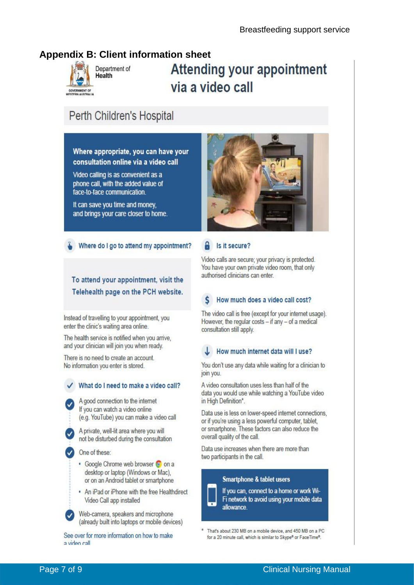## **Appendix B: Client information sheet**



Department of Health

# **Attending your appointment** via a video call

# Perth Children's Hospital

Where appropriate, you can have your consultation online via a video call

Video calling is as convenient as a phone call, with the added value of face-to-face communication

It can save you time and money. and brings your care closer to home.

#### Where do I go to attend my appointment?

## To attend your appointment, visit the Telehealth page on the PCH website.

Instead of travelling to your appointment, you enter the clinic's waiting area online.

The health service is notified when you arrive, and your clinician will join you when ready.

There is no need to create an account. No information you enter is stored.

#### What do I need to make a video call?

A good connection to the internet If you can watch a video online (e.g. YouTube) you can make a video call

A private, well-lit area where you will not be disturbed during the consultation

One of these:

- Google Chrome web browser desktop or laptop (Windows or Mac), or on an Android tablet or smartphone
- . An iPad or iPhone with the free Healthdirect Video Call app installed

Web-camera, speakers and microphone (already built into laptops or mobile devices)

See over for more information on how to make a video call



#### Is it secure?

Video calls are secure; your privacy is protected. You have your own private video room, that only authorised clinicians can enter

#### How much does a video call cost?

The video call is free (except for your internet usage). However, the regular costs - if any - of a medical consultation still apply.

#### How much internet data will I use?

You don't use any data while waiting for a clinician to join you.

A video consultation uses less than half of the data you would use while watching a YouTube video in High Definition\*.

Data use is less on lower-speed internet connections, or if you're using a less powerful computer, tablet, or smartphone. These factors can also reduce the overall quality of the call.

Data use increases when there are more than two participants in the call.

#### **Smartphone & tablet users**

allowance

If you can, connect to a home or work Wi-Fi network to avoid using your mobile data

That's about 230 MB on a mobile device, and 450 MB on a PC for a 20 minute call, which is similar to Skype® or FaceTime®.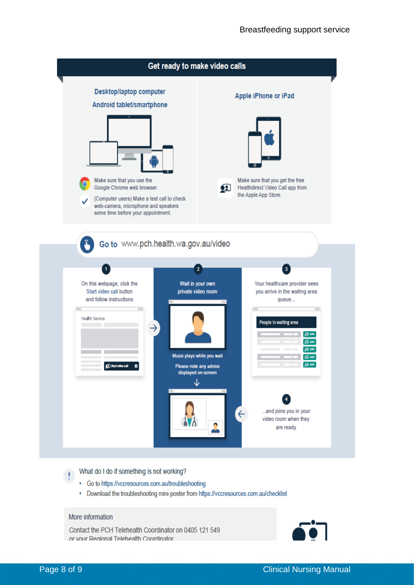

What do I do if something is not working?

- Go to https://vccresources.com.au/troubleshooting
- Download the troubleshooting mini-poster from https://vccresources.com.au/checklist

#### More information

Contact the PCH Telehealth Coordinator on 0405 121 549 or your Regional Telebealth Coordinator



 $\mathbf{r}$